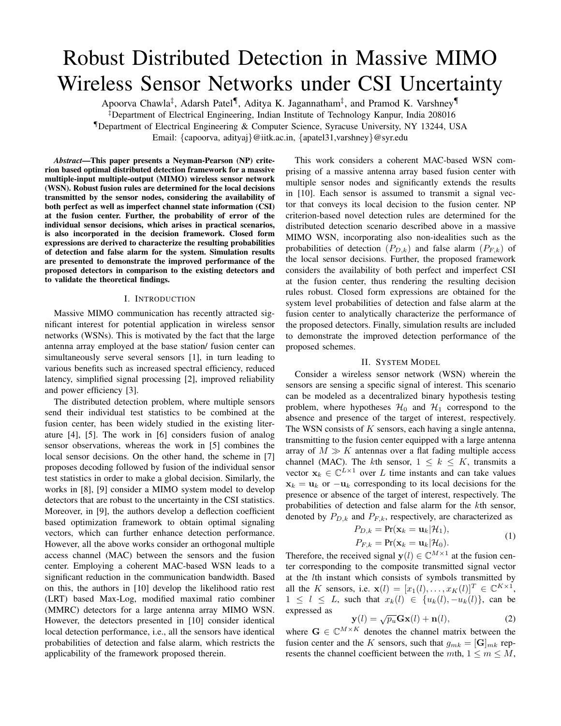# Robust Distributed Detection in Massive MIMO Wireless Sensor Networks under CSI Uncertainty

Apoorva Chawla*‡* , Adarsh Patel*¶* , Aditya K. Jagannatham*‡* , and Pramod K. Varshney*¶*

*‡*Department of Electrical Engineering, Indian Institute of Technology Kanpur, India 208016 *¶*Department of Electrical Engineering & Computer Science, Syracuse University, NY 13244, USA

Email: *{*capoorva, adityaj*}*@iitk.ac.in, *{*apatel31,varshney*}*@syr.edu

*Abstract*—This paper presents a Neyman-Pearson (NP) criterion based optimal distributed detection framework for a massive multiple-input multiple-output (MIMO) wireless sensor network (WSN). Robust fusion rules are determined for the local decisions transmitted by the sensor nodes, considering the availability of both perfect as well as imperfect channel state information (CSI) at the fusion center. Further, the probability of error of the individual sensor decisions, which arises in practical scenarios, is also incorporated in the decision framework. Closed form expressions are derived to characterize the resulting probabilities of detection and false alarm for the system. Simulation results are presented to demonstrate the improved performance of the proposed detectors in comparison to the existing detectors and to validate the theoretical findings.

## I. INTRODUCTION

Massive MIMO communication has recently attracted significant interest for potential application in wireless sensor networks (WSNs). This is motivated by the fact that the large antenna array employed at the base station/ fusion center can simultaneously serve several sensors [1], in turn leading to various benefits such as increased spectral efficiency, reduced latency, simplified signal processing [2], improved reliability and power efficiency [3].

The distributed detection problem, where multiple sensors send their individual test statistics to be combined at the fusion center, has been widely studied in the existing literature [4], [5]. The work in [6] considers fusion of analog sensor observations, whereas the work in [5] combines the local sensor decisions. On the other hand, the scheme in [7] proposes decoding followed by fusion of the individual sensor test statistics in order to make a global decision. Similarly, the works in [8], [9] consider a MIMO system model to develop detectors that are robust to the uncertainty in the CSI statistics. Moreover, in [9], the authors develop a deflection coefficient based optimization framework to obtain optimal signaling vectors, which can further enhance detection performance. However, all the above works consider an orthogonal multiple access channel (MAC) between the sensors and the fusion center. Employing a coherent MAC-based WSN leads to a significant reduction in the communication bandwidth. Based on this, the authors in [10] develop the likelihood ratio rest (LRT) based Max-Log, modified maximal ratio combiner (MMRC) detectors for a large antenna array MIMO WSN. However, the detectors presented in [10] consider identical local detection performance, i.e., all the sensors have identical probabilities of detection and false alarm, which restricts the applicability of the framework proposed therein.

This work considers a coherent MAC-based WSN comprising of a massive antenna array based fusion center with multiple sensor nodes and significantly extends the results in [10]. Each sensor is assumed to transmit a signal vector that conveys its local decision to the fusion center. NP criterion-based novel detection rules are determined for the distributed detection scenario described above in a massive MIMO WSN, incorporating also non-idealities such as the probabilities of detection  $(P_{D,k})$  and false alarm  $(P_{F,k})$  of the local sensor decisions. Further, the proposed framework considers the availability of both perfect and imperfect CSI at the fusion center, thus rendering the resulting decision rules robust. Closed form expressions are obtained for the system level probabilities of detection and false alarm at the fusion center to analytically characterize the performance of the proposed detectors. Finally, simulation results are included to demonstrate the improved detection performance of the proposed schemes.

## II. SYSTEM MODEL

Consider a wireless sensor network (WSN) wherein the sensors are sensing a specific signal of interest. This scenario can be modeled as a decentralized binary hypothesis testing problem, where hypotheses  $\mathcal{H}_0$  and  $\mathcal{H}_1$  correspond to the absence and presence of the target of interest, respectively. The WSN consists of *K* sensors, each having a single antenna, transmitting to the fusion center equipped with a large antenna array of  $M \gg K$  antennas over a flat fading multiple access channel (MAC). The *k*th sensor,  $1 \leq k \leq K$ , transmits a vector  $\mathbf{x}_k \in \mathbb{C}^{L \times 1}$  over *L* time instants and can take values  $x_k = u_k$  or  $-u_k$  corresponding to its local decisions for the presence or absence of the target of interest, respectively. The probabilities of detection and false alarm for the *k*th sensor, denoted by  $P_{D,k}$  and  $P_{F,k}$ , respectively, are characterized as

$$
P_{D,k} = \Pr(\mathbf{x}_k = \mathbf{u}_k | \mathcal{H}_1),
$$
  
\n
$$
P_{F,k} = \Pr(\mathbf{x}_k = \mathbf{u}_k | \mathcal{H}_0).
$$
\n(1)

Therefore, the received signal  $\mathbf{y}(l) \in \mathbb{C}^{M \times 1}$  at the fusion center corresponding to the composite transmitted signal vector at the *l*th instant which consists of symbols transmitted by all the *K* sensors, i.e.  $\mathbf{x}(l) = [x_1(l), \dots, x_K(l)]^T \in \mathbb{C}^{K \times 1}$ ,  $1 \leq l \leq L$ , such that  $x_k(l) \in \{u_k(l), -u_k(l)\}$ , can be expressed as

$$
\mathbf{y}(l) = \sqrt{p_u} \mathbf{G} \mathbf{x}(l) + \mathbf{n}(l),
$$
 (2)

where  $\mathbf{G} \in \mathbb{C}^{M \times K}$  denotes the channel matrix between the fusion center and the *K* sensors, such that  $g_{mk} = [\mathbf{G}]_{mk}$  represents the channel coefficient between the *mth*,  $1 \le m \le M$ ,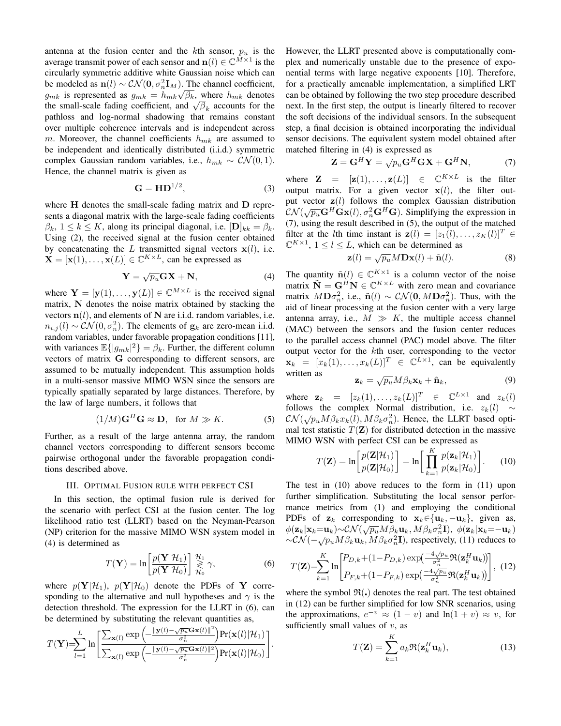antenna at the fusion center and the  $k$ th sensor,  $p_u$  is the average transmit power of each sensor and  $\mathbf{n}(l) \in \mathbb{C}^{M \times 1}$  is the circularly symmetric additive white Gaussian noise which can be modeled as  $\mathbf{n}(l) \sim \mathcal{CN}(\mathbf{0}, \sigma_n^2 \mathbf{I}_M)$ . The channel coefficient, *g*<sub>*mk*</sub> is represented as  $g_{mk} = h_{mk}\sqrt{\beta_k}$ , where  $h_{mk}$  denotes  $g_{mk}$  is represented as  $g_{mk} = h_{mk} \sqrt{p_k}$ , where  $h_{mk}$  denotes the small-scale fading coefficient, and  $\sqrt{\beta_k}$  accounts for the pathloss and log-normal shadowing that remains constant over multiple coherence intervals and is independent across *m*. Moreover, the channel coefficients *hmk* are assumed to be independent and identically distributed (i.i.d.) symmetric complex Gaussian random variables, i.e.,  $h_{mk} \sim \mathcal{CN}(0, 1)$ . Hence, the channel matrix is given as

$$
\mathbf{G} = \mathbf{H} \mathbf{D}^{1/2},\tag{3}
$$

where **H** denotes the small-scale fading matrix and **D** represents a diagonal matrix with the large-scale fading coefficients  $\beta_k$ ,  $1 \leq k \leq K$ , along its principal diagonal, i.e.  $[\mathbf{D}]_{kk} = \beta_k$ . Using (2), the received signal at the fusion center obtained by concatenating the  $L$  transmitted signal vectors  $\mathbf{x}(l)$ , i.e.  $\mathbf{X} = [\mathbf{x}(1), \dots, \mathbf{x}(L)] \in \mathbb{C}^{K \times L}$ , can be expressed as

$$
\mathbf{Y} = \sqrt{p_u} \mathbf{G} \mathbf{X} + \mathbf{N},\tag{4}
$$

where  $Y = [y(1), \ldots, y(L)] \in \mathbb{C}^{M \times L}$  is the received signal matrix, **N** denotes the noise matrix obtained by stacking the vectors  $n(l)$ , and elements of N are i.i.d. random variables, i.e.  $n_{i,j}(l) \sim \mathcal{CN}(0, \sigma_n^2)$ . The elements of  $\mathbf{g}_k$  are zero-mean i.i.d. random variables, under favorable propagation conditions [11], with variances  $\mathbb{E}\{|g_{mk}|^2\} = \beta_k$ . Further, the different column vectors of matrix **G** corresponding to different sensors, are assumed to be mutually independent. This assumption holds in a multi-sensor massive MIMO WSN since the sensors are typically spatially separated by large distances. Therefore, by the law of large numbers, it follows that

$$
(1/M)\mathbf{G}^H\mathbf{G} \approx \mathbf{D}, \text{ for } M \gg K. \tag{5}
$$

Further, as a result of the large antenna array, the random channel vectors corresponding to different sensors become pairwise orthogonal under the favorable propagation conditions described above.

## III. OPTIMAL FUSION RULE WITH PERFECT CSI

In this section, the optimal fusion rule is derived for the scenario with perfect CSI at the fusion center. The log likelihood ratio test (LLRT) based on the Neyman-Pearson (NP) criterion for the massive MIMO WSN system model in (4) is determined as

$$
T(\mathbf{Y}) = \ln \left[ \frac{p(\mathbf{Y}|\mathcal{H}_1)}{p(\mathbf{Y}|\mathcal{H}_0)} \right] \underset{\mathcal{H}_0}{\overset{\mathcal{H}_1}{\geq}} \gamma, \tag{6}
$$

where  $p(Y|\mathcal{H}_1)$ ,  $p(Y|\mathcal{H}_0)$  denote the PDFs of Y corresponding to the alternative and null hypotheses and  $\gamma$  is the detection threshold. The expression for the LLRT in (6), can be determined by substituting the relevant quantities as,

$$
T(\mathbf{Y})\!\!=\!\!\!\sum_{l=1}^{L}\ln\!\left[\frac{\sum_{\mathbf{x}(l)}\exp\left(\!-\frac{\|\mathbf{y}(l)-\!\sqrt{p_{u}}\mathbf{G}\mathbf{x}(l)\|^{2}}{\sigma_{n}^{2}}\right)\!\Pr(\mathbf{x}(l)|\mathcal{H}_{1})}{\sum_{\mathbf{x}(l)}\exp\left(\!-\frac{\|\mathbf{y}(l)-\!\sqrt{p_{u}}\mathbf{G}\mathbf{x}(l)\|^{2}}{\sigma_{n}^{2}}\right)\!\Pr(\mathbf{x}(l)|\mathcal{H}_{0})}\right]\!.
$$

However, the LLRT presented above is computationally complex and numerically unstable due to the presence of exponential terms with large negative exponents [10]. Therefore, for a practically amenable implementation, a simplified LRT can be obtained by following the two step procedure described next. In the first step, the output is linearly filtered to recover the soft decisions of the individual sensors. In the subsequent step, a final decision is obtained incorporating the individual sensor decisions. The equivalent system model obtained after matched filtering in (4) is expressed as

$$
\mathbf{Z} = \mathbf{G}^H \mathbf{Y} = \sqrt{p_u} \mathbf{G}^H \mathbf{G} \mathbf{X} + \mathbf{G}^H \mathbf{N}, \tag{7}
$$

where  $\mathbf{Z} = [\mathbf{z}(1), \dots, \mathbf{z}(L)] \in \mathbb{C}^{K \times L}$  is the filter output matrix. For a given vector  $x(l)$ , the filter output vector **z**(*l*) follows the complex Gaussian distribution  $\mathcal{CN}(\sqrt{p_u}\mathbf{G}^H\mathbf{G}\mathbf{x}(l), \sigma_n^2\mathbf{G}^H\mathbf{G})$ . Simplifying the expression in (7), using the result described in (5), the output of the matched filter at the *l*th time instant is  $\mathbf{z}(l) = [z_1(l), \ldots, z_K(l)]^T \in$  $\mathbb{C}^{K \times 1}$ ,  $1 \le l \le L$ , which can be determined as  $\mathbf{z}(l) = \sqrt{p_u} M \mathbf{D} \mathbf{x}(l) + \tilde{\mathbf{n}}(l)$ .

$$
\mathbf{z}(l) = \sqrt{p_u} M \mathbf{D} \mathbf{x}(l) + \tilde{\mathbf{n}}(l). \tag{8}
$$

The quantity  $\tilde{\mathbf{n}}(l) \in \mathbb{C}^{K \times 1}$  is a column vector of the noise matrix  $\tilde{\mathbf{N}} = \mathbf{G}^H \mathbf{N} \in \mathbb{C}^{K \times L}$  with zero mean and covariance matrix  $M\mathbf{D}\sigma_n^2$ , i.e.,  $\tilde{\mathbf{n}}(l) \sim \mathcal{CN}(\mathbf{0}, M\mathbf{D}\sigma_n^2)$ . Thus, with the aid of linear processing at the fusion center with a very large antenna array, i.e.,  $M \gg K$ , the multiple access channel (MAC) between the sensors and the fusion center reduces to the parallel access channel (PAC) model above. The filter output vector for the *k*th user, corresponding to the vector  $\mathbf{x}_k = [x_k(1), \dots, x_k(L)]^T \in \mathbb{C}^{L \times 1}$ , can be equivalently written as *√*

$$
\mathbf{z}_k = \sqrt{p_u} M \beta_k \mathbf{x}_k + \tilde{\mathbf{n}}_k, \tag{9}
$$

where  $\mathbf{z}_k = [z_k(1), \dots, z_k(L)]^T \in \mathbb{C}^{L \times 1}$  and  $z_k(l)$ follows the complex Normal distribution, i.e.  $z_k(l) \sim$  $\mathcal{CN}(\sqrt{p_u}M\beta_kx_k(l), M\beta_k\sigma_n^2)$ . Hence, the LLRT based optimal test statistic  $T(\mathbf{Z})$  for distributed detection in the massive MIMO WSN with perfect CSI can be expressed as

$$
T(\mathbf{Z}) = \ln \left[ \frac{p(\mathbf{Z}|\mathcal{H}_1)}{p(\mathbf{Z}|\mathcal{H}_0)} \right] = \ln \left[ \prod_{k=1}^{K} \frac{p(\mathbf{z}_k|\mathcal{H}_1)}{p(\mathbf{z}_k|\mathcal{H}_0)} \right].
$$
 (10)

The test in (10) above reduces to the form in (11) upon further simplification. Substituting the local sensor performance metrics from (1) and employing the conditional PDFs of  $z_k$  corresponding to  $x_k \in \{u_k, -u_k\}$ , given as,  $\phi(\mathbf{z}_k|\mathbf{x}_k=\mathbf{u}_k) \sim \mathcal{CN}(\sqrt{p_u}M\beta_k\mathbf{u}_k, M\beta_k\sigma_n^2\mathbf{I}), \ \phi(\mathbf{z}_k|\mathbf{x}_k=-\mathbf{u}_k)$  $~\sim$  *CN*( $~\sim$  $\sqrt{p_u}Mβ_k$ **u**<sub>k</sub>,  $Mβ_kσ_n^2$ **I**), respectively, (11) reduces to

$$
T(\mathbf{Z}) = \sum_{k=1}^{K} \ln \left[ \frac{P_{D,k} + (1 - P_{D,k}) \exp\left(\frac{-4\sqrt{p_u}}{\sigma_n^2} \Re(\mathbf{z}_k^H \mathbf{u}_k)\right)}{P_{F,k} + (1 - P_{F,k}) \exp\left(\frac{-4\sqrt{p_u}}{\sigma_n^2} \Re(\mathbf{z}_k^H \mathbf{u}_k)\right)} \right], \tag{12}
$$

where the symbol  $\mathfrak{R}(.)$  denotes the real part. The test obtained in (12) can be further simplified for low SNR scenarios, using the approximations,  $e^{-v} \approx (1 - v)$  and  $\ln(1 + v) \approx v$ , for sufficiently small values of *v*, as

$$
T(\mathbf{Z}) = \sum_{k=1}^{K} a_k \Re(\mathbf{z}_k^H \mathbf{u}_k),
$$
 (13)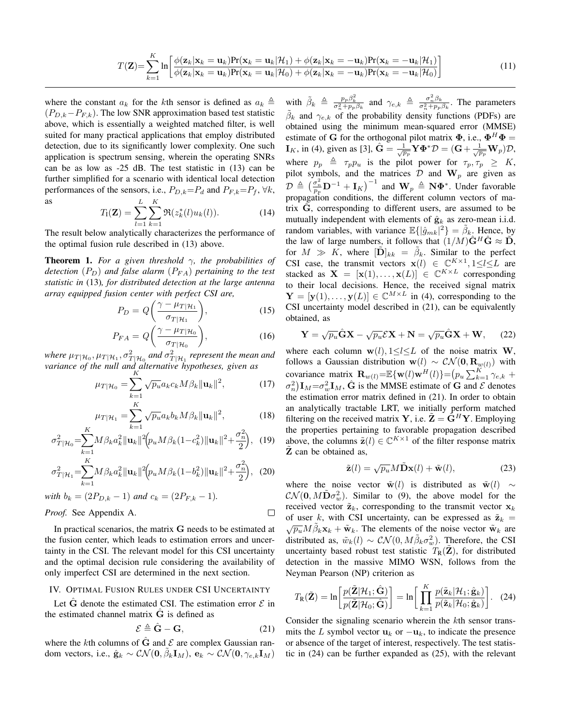$$
T(\mathbf{Z}) = \sum_{k=1}^{K} \ln \left[ \frac{\phi(\mathbf{z}_k | \mathbf{x}_k = \mathbf{u}_k) \Pr(\mathbf{x}_k = \mathbf{u}_k | \mathcal{H}_1) + \phi(\mathbf{z}_k | \mathbf{x}_k = -\mathbf{u}_k) \Pr(\mathbf{x}_k = -\mathbf{u}_k | \mathcal{H}_1)}{\phi(\mathbf{z}_k | \mathbf{x}_k = \mathbf{u}_k) \Pr(\mathbf{x}_k = \mathbf{u}_k | \mathcal{H}_0) + \phi(\mathbf{z}_k | \mathbf{x}_k = -\mathbf{u}_k) \Pr(\mathbf{x}_k = -\mathbf{u}_k | \mathcal{H}_0)} \right]
$$
(11)

where the constant  $a_k$  for the *k*th sensor is defined as  $a_k \triangleq$ (*PD,k−PF,k*). The low SNR approximation based test statistic above, which is essentially a weighted matched filter, is well suited for many practical applications that employ distributed detection, due to its significantly lower complexity. One such application is spectrum sensing, wherein the operating SNRs can be as low as -25 dB. The test statistic in (13) can be further simplified for a scenario with identical local detection performances of the sensors, i.e.,  $P_{D,k} = P_d$  and  $P_{F,k} = P_f$ ,  $\forall k$ , as *L K*

$$
T_{\mathbf{I}}(\mathbf{Z}) = \sum_{l=1}^{L} \sum_{k=1}^{K} \Re(z_k^*(l) u_k(l)).
$$
 (14)

The result below analytically characterizes the performance of the optimal fusion rule described in (13) above.

Theorem 1. *For a given threshold γ, the probabilities of detection* (*PD*) *and false alarm* (*PF A*) *pertaining to the test statistic in* (13)*, for distributed detection at the large antenna array equipped fusion center with perfect CSI are,*

$$
P_D = Q\left(\frac{\gamma - \mu_{T|\mathcal{H}_1}}{\sigma_{T|\mathcal{H}_1}}\right),\tag{15}
$$

$$
P_{FA} = Q\left(\frac{\gamma - \mu_{T|\mathcal{H}_0}}{\sigma_{T|\mathcal{H}_0}}\right),\tag{16}
$$

*where*  $\mu_T |_{\mathcal{H}_0}, \mu_T |_{\mathcal{H}_1}, \sigma_T^2 |_{\mathcal{H}_0}$  and  $\sigma_T^2 |_{\mathcal{H}_1}$  represent the mean and variance of the null and alternative hypotheses, given as

$$
\mu_{T|\mathcal{H}_0} = \sum_{k=1}^{N} \sqrt{p_u} a_k c_k M \beta_k ||\mathbf{u}_k||^2, \qquad (17)
$$

$$
\mu_{T|\mathcal{H}_1} = \sum_{k=1}^K \sqrt{p_u} a_k b_k M \beta_k ||\mathbf{u}_k||^2, \tag{18}
$$

$$
\sigma_{T|\mathcal{H}_0}^2 = \sum_{k=1}^K M \beta_k a_k^2 \|\mathbf{u}_k\|^2 \left(p_u M \beta_k (1 - c_k^2) \|\mathbf{u}_k\|^2 + \frac{\sigma_n^2}{2}\right), \quad (19)
$$

$$
\sigma_{T|\mathcal{H}_1}^2 = \sum_{k=1}^K M \beta_k a_k^2 ||\mathbf{u}_k||^2 \Big( p_u M \beta_k (1 - b_k^2) ||\mathbf{u}_k||^2 + \frac{\sigma_n^2}{2} \Big), \tag{20}
$$

with 
$$
b_k = (2P_{D,k} - 1)
$$
 and  $c_k = (2P_{F,k} - 1)$ .

*Proof.* See Appendix A.

In practical scenarios, the matrix **G** needs to be estimated at the fusion center, which leads to estimation errors and uncertainty in the CSI. The relevant model for this CSI uncertainty and the optimal decision rule considering the availability of only imperfect CSI are determined in the next section.

# IV. OPTIMAL FUSION RULES UNDER CSI UNCERTAINTY

Let  $\hat{G}$  denote the estimated CSI. The estimation error  $\mathcal E$  in the estimated channel matrix  $\hat{G}$  is defined as

$$
\mathcal{E} \triangleq \hat{\mathbf{G}} - \mathbf{G},\tag{21}
$$

 $\Box$ 

where the *k*th columns of  $\hat{G}$  and  $\mathcal E$  are complex Gaussian random vectors, i.e.,  $\hat{\mathbf{g}}_k \sim \mathcal{CN}(\mathbf{0}, \tilde{\beta}_k \mathbf{I}_M)$ ,  $\mathbf{e}_k \sim \mathcal{CN}(\mathbf{0}, \gamma_{e,k} \mathbf{I}_M)$ 

with  $\tilde{\beta}_k \triangleq \frac{p_p \beta_k^2}{\sigma_n^2 + p_p \beta_k}$  and  $\gamma_{e,k} \triangleq \frac{\sigma_n^2 \beta_k}{\sigma_n^2 + p_p \beta_k}$ . The parameters  $\tilde{\beta}_k$  and  $\gamma_{e,k}$  of the probability density functions (PDFs) are obtained using the minimum mean-squared error (MMSE) estimate of **G** for the orthogonal pilot matrix  $\Phi$ , i.e.,  $\Phi^H \Phi =$ **I**<sub>K</sub>, in (4), given as [3],  $\hat{G} = \frac{1}{\sqrt{p_p}} \hat{Y} \Phi^* \mathcal{D} = (G + \frac{1}{\sqrt{p_p}} \mathbf{W}_p) \mathcal{D}$ , where  $p_p \triangleq \tau_p p_u$  is the pilot power for  $\tau_p, \tau_p \geq K$ , pilot symbols, and the matrices  $D$  and  $W_p$  are given as  $\mathcal{D} \triangleq \left( \frac{\sigma_n^2}{p_p} \mathbf{D}^{-1} + \mathbf{I}_K \right)^{-1}$  and  $\mathbf{W}_p \triangleq \mathbf{N} \mathbf{\Phi}^*$ . Under favorable propagation conditions, the different column vectors of matrix G, corresponding to different users, are assumed to be mutually independent with elements of  $\hat{\mathbf{g}}_k$  as zero-mean i.i.d. random variables, with variance  $\mathbb{E}\{|\hat{g}_{mk}|^2\} = \tilde{\beta}_k$ . Hence, by the law of large numbers, it follows that  $(1/M)\hat{G}^H\hat{G} \approx \tilde{D}$ , for  $M \gg K$ , where  $[\tilde{\mathbf{D}}]_{kk} = \tilde{\beta}_k$ . Similar to the perfect CSI case, the transmit vectors  $\mathbf{x}(l) \in \mathbb{C}^{K \times 1}, 1 \le l \le L$  are stacked as  $\mathbf{X} = [\mathbf{x}(1), \dots, \mathbf{x}(L)] \in \mathbb{C}^{K \times L}$  corresponding to their local decisions. Hence, the received signal matrix  $\mathbf{Y} = [\mathbf{y}(1), \dots, \mathbf{y}(L)] \in \mathbb{C}^{M \times L}$  in (4), corresponding to the CSI uncertainty model described in (21), can be equivalently obtained, as

$$
\mathbf{Y} = \sqrt{p_u}\hat{\mathbf{G}}\mathbf{X} - \sqrt{p_u}\mathcal{E}\mathbf{X} + \mathbf{N} = \sqrt{p_u}\hat{\mathbf{G}}\mathbf{X} + \mathbf{W},\qquad(22)
$$

where each column  $\mathbf{w}(l), 1 \le l \le L$  of the noise matrix **W**, follows a Gaussian distribution  $\mathbf{w}(l) \sim \mathcal{CN}(\mathbf{0}, \mathbf{R}_{w(l)})$  with covariance matrix  $\mathbf{R}_{w(l)} = \mathbb{E}\{\mathbf{w}(l)\mathbf{w}^H(l)\} = (p_u \sum_{k=1}^K \gamma_{e,k} + p_u)$  $\sigma_n^2$ )**I**<sub>*M*</sub> =  $\sigma_w^2$ **I**<sub>*M*</sub>,  $\hat{G}$  is the MMSE estimate of  $\hat{G}$  and  $\mathcal{E}$  denotes the estimation error matrix defined in (21). In order to obtain an analytically tractable LRT, we initially perform matched filtering on the received matrix **Y**, i.e.  $\tilde{\mathbf{Z}} = \hat{\mathbf{G}}^H \mathbf{Y}$ . Employing the properties pertaining to favorable propagation described above, the columns  $\tilde{\mathbf{z}}(l) \in \mathbb{C}^{K \times 1}$  of the filter response matrix **Z** can be obtained as,

$$
\tilde{\mathbf{z}}(l) = \sqrt{p_u} M \tilde{\mathbf{D}} \mathbf{x}(l) + \tilde{\mathbf{w}}(l),
$$
 (23)

where the noise vector  $\tilde{\mathbf{w}}(l)$  is distributed as  $\tilde{\mathbf{w}}(l) \sim$  $\mathcal{CN}(\mathbf{0}, M\tilde{\mathbf{D}}\sigma_w^2)$ . Similar to (9), the above model for the received vector  $\tilde{\mathbf{z}}_k$ , corresponding to the transmit vector  $\mathbf{x}_k$ of user *k*, with CSI uncertainty, can be expressed as  $\tilde{\mathbf{z}}_k = \sqrt{p_u} M \tilde{\beta}_k \mathbf{x}_k + \tilde{\mathbf{w}}_k$ . The elements of the noise vector  $\tilde{\mathbf{w}}_k$  are distributed as,  $\tilde{w}_k(l) \sim \mathcal{CN}(0, M \tilde{\beta}_k \sigma_w^2)$ . Therefore, the CSI uncertainty based robust test statistic  $T_R(\mathbf{Z})$ , for distributed detection in the massive MIMO WSN, follows from the Neyman Pearson (NP) criterion as

$$
T_{\mathbf{R}}(\tilde{\mathbf{Z}}) = \ln \left[ \frac{p(\tilde{\mathbf{Z}} | \mathcal{H}_1; \hat{\mathbf{G}})}{p(\tilde{\mathbf{Z}} | \mathcal{H}_0; \hat{\mathbf{G}})} \right] = \ln \left[ \prod_{k=1}^{K} \frac{p(\tilde{\mathbf{z}}_k | \mathcal{H}_1; \hat{\mathbf{g}}_k)}{p(\tilde{\mathbf{z}}_k | \mathcal{H}_0; \hat{\mathbf{g}}_k)} \right].
$$
 (24)

Consider the signaling scenario wherein the *k*th sensor transmits the *L* symbol vector  $\mathbf{u}_k$  or  $-\mathbf{u}_k$ , to indicate the presence or absence of the target of interest, respectively. The test statistic in (24) can be further expanded as (25), with the relevant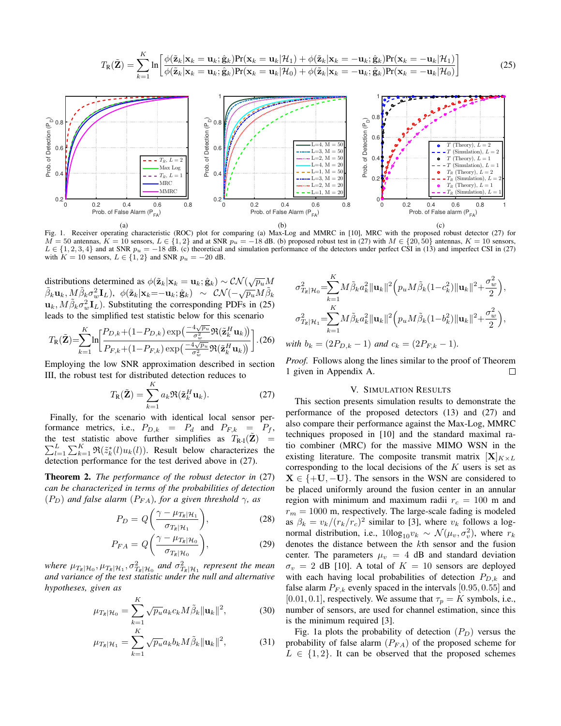$$
T_{\mathbf{R}}(\tilde{\mathbf{Z}}) = \sum_{k=1}^{K} \ln \left[ \frac{\phi(\tilde{\mathbf{z}}_k | \mathbf{x}_k = \mathbf{u}_k; \hat{\mathbf{g}}_k) \Pr(\mathbf{x}_k = \mathbf{u}_k | \mathcal{H}_1) + \phi(\tilde{\mathbf{z}}_k | \mathbf{x}_k = -\mathbf{u}_k; \hat{\mathbf{g}}_k) \Pr(\mathbf{x}_k = -\mathbf{u}_k | \mathcal{H}_1)}{\phi(\tilde{\mathbf{z}}_k | \mathbf{x}_k = \mathbf{u}_k; \hat{\mathbf{g}}_k) \Pr(\mathbf{x}_k = \mathbf{u}_k | \mathcal{H}_0) + \phi(\tilde{\mathbf{z}}_k | \mathbf{x}_k = -\mathbf{u}_k; \hat{\mathbf{g}}_k) \Pr(\mathbf{x}_k = -\mathbf{u}_k | \mathcal{H}_0)} \right]
$$
(25)



Fig. 1. Receiver operating characteristic (ROC) plot for comparing (a) Max-Log and MMRC in [10], MRC with the proposed robust detector (27) for  $M = 50$  antennas,  $K = 10$  sensors,  $L \in \{1, 2\}$  and at SNR  $p_u = -18$  dB. (b) proposed robust test in (27) with  $M \in \{20, 50\}$  antennas,  $K = 10$  sensors,  $L \in \{1, 2, 3, 4\}$  and at SNR  $p_u = -18$  dB. (c) theoretical and simulation performance of the detectors under perfect CSI in (13) and imperfect CSI in (27) with  $K = 10$  sensors,  $L \in \{1, 2\}$  and SNR  $p_u = -20$  dB.

distributions determined as  $\phi(\tilde{\mathbf{z}}_k|\mathbf{x}_k = \mathbf{u}_k; \hat{\mathbf{g}}_k) \sim \mathcal{CN}(\sqrt{p_u}M)$  $\tilde{\beta}_k \mathbf{u}_k, M \tilde{\beta}_k \sigma_w^2 \mathbf{I}_L$ ,  $\phi(\tilde{\mathbf{z}}_k | \mathbf{x}_k = \mathbf{u}_k; \hat{\mathbf{g}}_k) \sim \mathcal{CN}(-\sqrt{p_u}M\tilde{\beta}_k)$  $\mathbf{u}_k$ ,  $M\tilde{\beta}_k \sigma_w^2 \mathbf{I}_L$ ). Substituting the corresponding PDFs in (25) leads to the simplified test statistic below for this scenario

$$
T_{\rm R}(\tilde{\mathbf{Z}}) = \sum_{k=1}^{K} \ln \left[ \frac{P_{D,k} + (1 - P_{D,k}) \exp\left(\frac{-4\sqrt{p_u}}{\sigma_w^2} \Re(\tilde{\mathbf{z}}_k^H \mathbf{u}_k)\right)}{P_{F,k} + (1 - P_{F,k}) \exp\left(\frac{-4\sqrt{p_u}}{\sigma_w^2} \Re(\tilde{\mathbf{z}}_k^H \mathbf{u}_k)\right)} \right]. (26)
$$

Employing the low SNR approximation described in section III, the robust test for distributed detection reduces to

$$
T_{\mathbf{R}}(\tilde{\mathbf{Z}}) = \sum_{k=1}^{K} a_k \Re(\tilde{\mathbf{z}}_k^H \mathbf{u}_k).
$$
 (27)

Finally, for the scenario with identical local sensor performance metrics, i.e.,  $P_{D,k} = P_d$  and  $P_{F,k} = P_f$ , the test statistic above further simplifies as  $T_{R-1}(\tilde{Z}) = \sum_{l=1}^{L} \sum_{k=1}^{K} \Re(\tilde{z}_k^*(l) u_k(l))$ . Result below characterizes the detection performance for the test derived above in (27).

Theorem 2. *The performance of the robust detector in* (27) *can be characterized in terms of the probabilities of detection*  $(P_D)$  *and false alarm*  $(P_{FA})$ *, for a given threshold*  $\gamma$ *, as* 

$$
P_D = Q\left(\frac{\gamma - \mu_{T_R|\mathcal{H}_1}}{\sigma_{T_R|\mathcal{H}_1}}\right),\tag{28}
$$

$$
P_{FA} = Q\left(\frac{\gamma - \mu_{T_R|\mathcal{H}_0}}{\sigma_{T_R|\mathcal{H}_0}}\right),\tag{29}
$$

*where*  $\mu_{T_R|\mathcal{H}_0}, \mu_{T_R|\mathcal{H}_1}, \sigma^2_{T_R|\mathcal{H}_0}$  and  $\sigma^2_{T_R|\mathcal{H}_1}$  represent the mean *and variance of the test statistic under the null and alternative hypotheses, given as*

$$
\mu_{T_k|\mathcal{H}_0} = \sum_{k=1}^K \sqrt{p_u} a_k c_k M \tilde{\beta}_k ||\mathbf{u}_k||^2, \tag{30}
$$

$$
\mu_{T_k|\mathcal{H}_1} = \sum_{k=1}^K \sqrt{p_u} a_k b_k M \tilde{\beta}_k ||\mathbf{u}_k||^2, \tag{31}
$$

$$
\sigma_{T_k|\mathcal{H}_0}^2 = \sum_{k=1}^K M \tilde{\beta}_k a_k^2 \|\mathbf{u}_k\|^2 \Big( p_u M \tilde{\beta}_k (1 - c_k^2) \|\mathbf{u}_k\|^2 + \frac{\sigma_w^2}{2} \Big),
$$
  

$$
\sigma_{T_k|\mathcal{H}_1}^2 = \sum_{k=1}^K M \tilde{\beta}_k a_k^2 \|\mathbf{u}_k\|^2 \Big( p_u M \tilde{\beta}_k (1 - b_k^2) \|\mathbf{u}_k\|^2 + \frac{\sigma_w^2}{2} \Big),
$$
  
with  $b_k = (2P_{D,k} - 1)$  and  $c_k = (2P_{F,k} - 1)$ .

*Proof.* Follows along the lines similar to the proof of Theorem  $\Box$ 1 given in Appendix A.

# V. SIMULATION RESULTS

This section presents simulation results to demonstrate the performance of the proposed detectors (13) and (27) and also compare their performance against the Max-Log, MMRC techniques proposed in [10] and the standard maximal ratio combiner (MRC) for the massive MIMO WSN in the existing literature. The composite transmit matrix  $[X]_{K \times L}$ corresponding to the local decisions of the *K* users is set as  $X \in \{+U, -U\}$ . The sensors in the WSN are considered to be placed uniformly around the fusion center in an annular region with minimum and maximum radii  $r_c = 100$  m and  $r_m = 1000$  m, respectively. The large-scale fading is modeled as  $\beta_k = v_k/(r_k/r_c)^2$  similar to [3], where  $v_k$  follows a lognormal distribution, i.e.,  $10\log_{10}v_k \sim \mathcal{N}(\mu_v, \sigma_v^2)$ , where  $r_k$ denotes the distance between the *k*th sensor and the fusion center. The parameters  $\mu_v = 4$  dB and standard deviation  $\sigma_v = 2$  dB [10]. A total of  $K = 10$  sensors are deployed with each having local probabilities of detection *PD,k* and false alarm  $P_{F,k}$  evenly spaced in the intervals [0.95, 0.55] and [0.01, 0.1], respectively. We assume that  $\tau_p = K$  symbols, i.e., number of sensors, are used for channel estimation, since this is the minimum required [3].

Fig. 1a plots the probability of detection  $(P_D)$  versus the probability of false alarm  $(P_{FA})$  of the proposed scheme for  $L \in \{1, 2\}$ . It can be observed that the proposed schemes